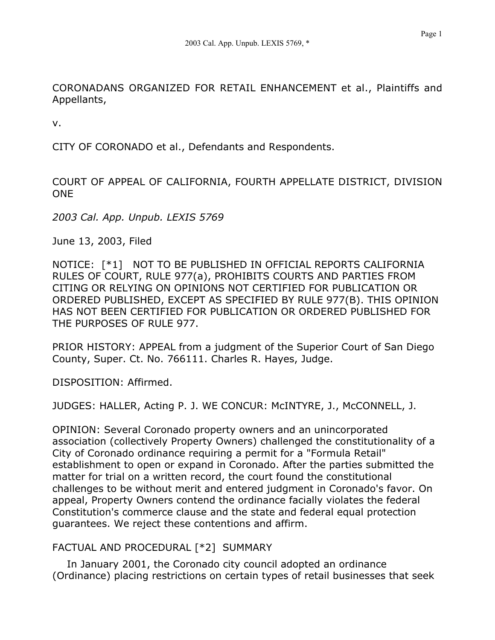CORONADANS ORGANIZED FOR RETAIL ENHANCEMENT et al., Plaintiffs and Appellants,

v.

CITY OF CORONADO et al., Defendants and Respondents.

COURT OF APPEAL OF CALIFORNIA, FOURTH APPELLATE DISTRICT, DIVISION ONE

*2003 Cal. App. Unpub. LEXIS 5769*

June 13, 2003, Filed

NOTICE: [\*1] NOT TO BE PUBLISHED IN OFFICIAL REPORTS CALIFORNIA RULES OF COURT, RULE 977(a), PROHIBITS COURTS AND PARTIES FROM CITING OR RELYING ON OPINIONS NOT CERTIFIED FOR PUBLICATION OR ORDERED PUBLISHED, EXCEPT AS SPECIFIED BY RULE 977(B). THIS OPINION HAS NOT BEEN CERTIFIED FOR PUBLICATION OR ORDERED PUBLISHED FOR THE PURPOSES OF RULE 977.

PRIOR HISTORY: APPEAL from a judgment of the Superior Court of San Diego County, Super. Ct. No. 766111. Charles R. Hayes, Judge.

DISPOSITION: Affirmed.

JUDGES: HALLER, Acting P. J. WE CONCUR: McINTYRE, J., McCONNELL, J.

OPINION: Several Coronado property owners and an unincorporated association (collectively Property Owners) challenged the constitutionality of a City of Coronado ordinance requiring a permit for a "Formula Retail" establishment to open or expand in Coronado. After the parties submitted the matter for trial on a written record, the court found the constitutional challenges to be without merit and entered judgment in Coronado's favor. On appeal, Property Owners contend the ordinance facially violates the federal Constitution's commerce clause and the state and federal equal protection guarantees. We reject these contentions and affirm.

# FACTUAL AND PROCEDURAL [\*2] SUMMARY

In January 2001, the Coronado city council adopted an ordinance (Ordinance) placing restrictions on certain types of retail businesses that seek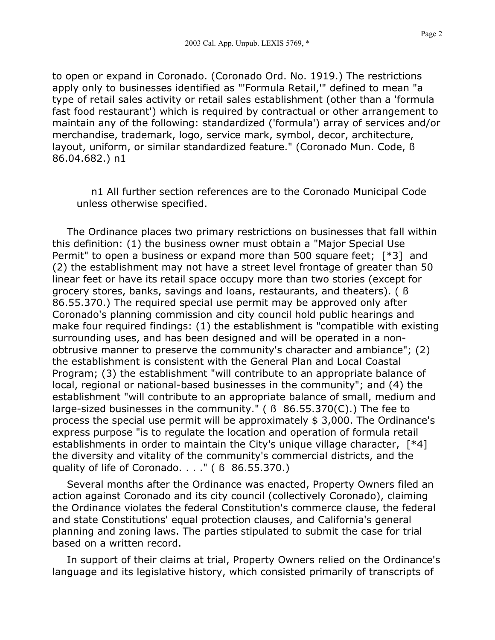to open or expand in Coronado. (Coronado Ord. No. 1919.) The restrictions apply only to businesses identified as "'Formula Retail,'" defined to mean "a type of retail sales activity or retail sales establishment (other than a 'formula fast food restaurant') which is required by contractual or other arrangement to maintain any of the following: standardized ('formula') array of services and/or merchandise, trademark, logo, service mark, symbol, decor, architecture,

layout, uniform, or similar standardized feature." (Coronado Mun. Code, ß 86.04.682.) n1

n1 All further section references are to the Coronado Municipal Code unless otherwise specified.

The Ordinance places two primary restrictions on businesses that fall within this definition: (1) the business owner must obtain a "Major Special Use Permit" to open a business or expand more than 500 square feet; [\*3] and (2) the establishment may not have a street level frontage of greater than 50 linear feet or have its retail space occupy more than two stories (except for grocery stores, banks, savings and loans, restaurants, and theaters). ( ß 86.55.370.) The required special use permit may be approved only after Coronado's planning commission and city council hold public hearings and make four required findings: (1) the establishment is "compatible with existing surrounding uses, and has been designed and will be operated in a nonobtrusive manner to preserve the community's character and ambiance"; (2) the establishment is consistent with the General Plan and Local Coastal Program; (3) the establishment "will contribute to an appropriate balance of local, regional or national-based businesses in the community"; and (4) the establishment "will contribute to an appropriate balance of small, medium and large-sized businesses in the community." ( ß 86.55.370(C).) The fee to process the special use permit will be approximately \$ 3,000. The Ordinance's express purpose "is to regulate the location and operation of formula retail establishments in order to maintain the City's unique village character, [\*4] the diversity and vitality of the community's commercial districts, and the quality of life of Coronado. . . ." ( ß 86.55.370.)

Several months after the Ordinance was enacted, Property Owners filed an action against Coronado and its city council (collectively Coronado), claiming the Ordinance violates the federal Constitution's commerce clause, the federal and state Constitutions' equal protection clauses, and California's general planning and zoning laws. The parties stipulated to submit the case for trial based on a written record.

In support of their claims at trial, Property Owners relied on the Ordinance's language and its legislative history, which consisted primarily of transcripts of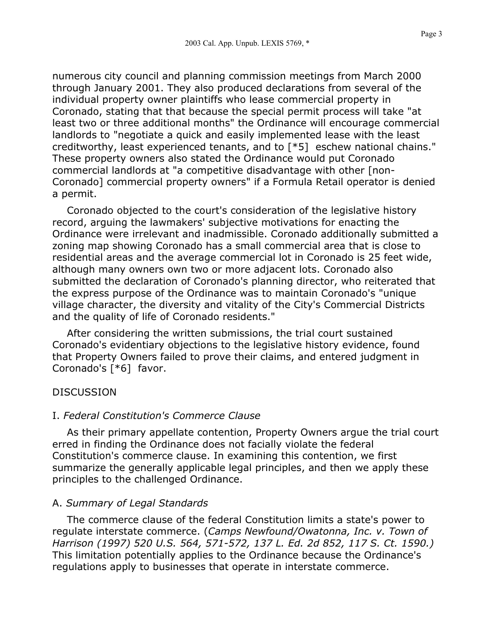Page 3

numerous city council and planning commission meetings from March 2000 through January 2001. They also produced declarations from several of the individual property owner plaintiffs who lease commercial property in Coronado, stating that that because the special permit process will take "at least two or three additional months" the Ordinance will encourage commercial landlords to "negotiate a quick and easily implemented lease with the least creditworthy, least experienced tenants, and to [\*5] eschew national chains." These property owners also stated the Ordinance would put Coronado commercial landlords at "a competitive disadvantage with other [non-Coronado] commercial property owners" if a Formula Retail operator is denied a permit.

Coronado objected to the court's consideration of the legislative history record, arguing the lawmakers' subjective motivations for enacting the Ordinance were irrelevant and inadmissible. Coronado additionally submitted a zoning map showing Coronado has a small commercial area that is close to residential areas and the average commercial lot in Coronado is 25 feet wide, although many owners own two or more adjacent lots. Coronado also submitted the declaration of Coronado's planning director, who reiterated that the express purpose of the Ordinance was to maintain Coronado's "unique village character, the diversity and vitality of the City's Commercial Districts and the quality of life of Coronado residents."

After considering the written submissions, the trial court sustained Coronado's evidentiary objections to the legislative history evidence, found that Property Owners failed to prove their claims, and entered judgment in Coronado's [\*6] favor.

## DISCUSSION

## I. *Federal Constitution's Commerce Clause*

As their primary appellate contention, Property Owners argue the trial court erred in finding the Ordinance does not facially violate the federal Constitution's commerce clause. In examining this contention, we first summarize the generally applicable legal principles, and then we apply these principles to the challenged Ordinance.

# A. *Summary of Legal Standards*

The commerce clause of the federal Constitution limits a state's power to regulate interstate commerce. (*Camps Newfound/Owatonna, Inc. v. Town of Harrison (1997) 520 U.S. 564, 571-572, 137 L. Ed. 2d 852, 117 S. Ct. 1590.)* This limitation potentially applies to the Ordinance because the Ordinance's regulations apply to businesses that operate in interstate commerce.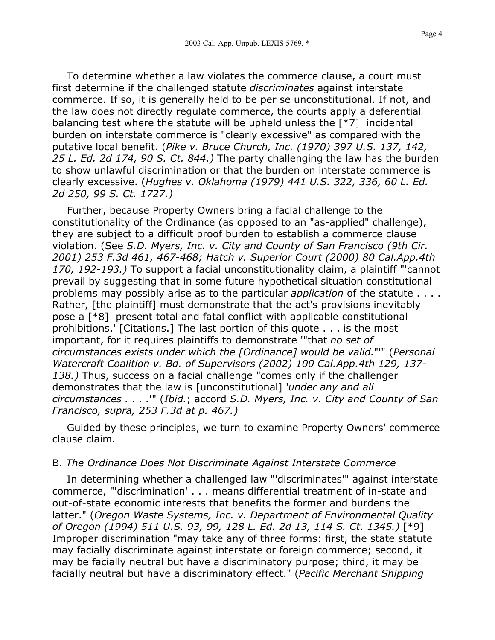To determine whether a law violates the commerce clause, a court must first determine if the challenged statute *discriminates* against interstate commerce. If so, it is generally held to be per se unconstitutional. If not, and the law does not directly regulate commerce, the courts apply a deferential balancing test where the statute will be upheld unless the [\*7] incidental burden on interstate commerce is "clearly excessive" as compared with the putative local benefit. (*Pike v. Bruce Church, Inc. (1970) 397 U.S. 137, 142, 25 L. Ed. 2d 174, 90 S. Ct. 844.)* The party challenging the law has the burden to show unlawful discrimination or that the burden on interstate commerce is clearly excessive. (*Hughes v. Oklahoma (1979) 441 U.S. 322, 336, 60 L. Ed. 2d 250, 99 S. Ct. 1727.)*

Further, because Property Owners bring a facial challenge to the constitutionality of the Ordinance (as opposed to an "as-applied" challenge), they are subject to a difficult proof burden to establish a commerce clause violation. (See *S.D. Myers, Inc. v. City and County of San Francisco (9th Cir. 2001) 253 F.3d 461, 467-468; Hatch v. Superior Court (2000) 80 Cal.App.4th 170, 192-193.)* To support a facial unconstitutionality claim, a plaintiff "'cannot prevail by suggesting that in some future hypothetical situation constitutional problems may possibly arise as to the particular *application* of the statute . . . . Rather, [the plaintiff] must demonstrate that the act's provisions inevitably pose a [\*8] present total and fatal conflict with applicable constitutional prohibitions.' [Citations.] The last portion of this quote . . . is the most important, for it requires plaintiffs to demonstrate '"that *no set of circumstances exists under which the [Ordinance] would be valid.*"'" (*Personal Watercraft Coalition v. Bd. of Supervisors (2002) 100 Cal.App.4th 129, 137- 138.)* Thus, success on a facial challenge "comes only if the challenger demonstrates that the law is [unconstitutional] '*under any and all circumstances . . . .*'" (*Ibid.*; accord *S.D. Myers, Inc. v. City and County of San Francisco, supra, 253 F.3d at p. 467.)*

Guided by these principles, we turn to examine Property Owners' commerce clause claim.

#### B. *The Ordinance Does Not Discriminate Against Interstate Commerce*

In determining whether a challenged law "'discriminates'" against interstate commerce, "'discrimination' . . . means differential treatment of in-state and out-of-state economic interests that benefits the former and burdens the latter." (*Oregon Waste Systems, Inc. v. Department of Environmental Quality of Oregon (1994) 511 U.S. 93, 99, 128 L. Ed. 2d 13, 114 S. Ct. 1345.)* [\*9] Improper discrimination "may take any of three forms: first, the state statute may facially discriminate against interstate or foreign commerce; second, it may be facially neutral but have a discriminatory purpose; third, it may be facially neutral but have a discriminatory effect." (*Pacific Merchant Shipping*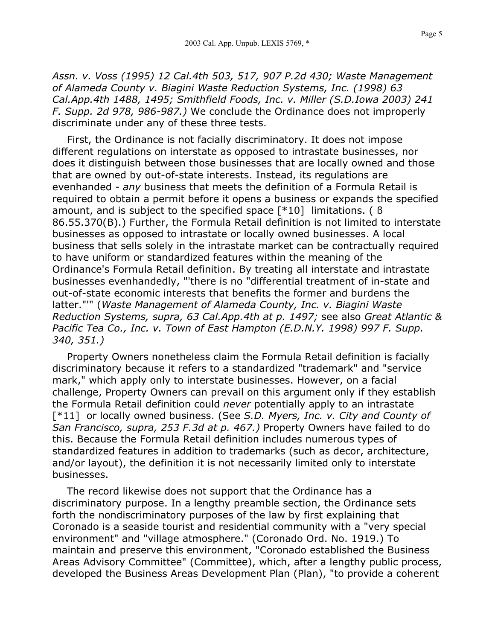*Assn. v. Voss (1995) 12 Cal.4th 503, 517, 907 P.2d 430; Waste Management of Alameda County v. Biagini Waste Reduction Systems, Inc. (1998) 63 Cal.App.4th 1488, 1495; Smithfield Foods, Inc. v. Miller (S.D.Iowa 2003) 241 F. Supp. 2d 978, 986-987.)* We conclude the Ordinance does not improperly discriminate under any of these three tests.

First, the Ordinance is not facially discriminatory. It does not impose different regulations on interstate as opposed to intrastate businesses, nor does it distinguish between those businesses that are locally owned and those that are owned by out-of-state interests. Instead, its regulations are evenhanded - *any* business that meets the definition of a Formula Retail is required to obtain a permit before it opens a business or expands the specified amount, and is subject to the specified space [\*10] limitations. ( ß 86.55.370(B).) Further, the Formula Retail definition is not limited to interstate businesses as opposed to intrastate or locally owned businesses. A local business that sells solely in the intrastate market can be contractually required to have uniform or standardized features within the meaning of the Ordinance's Formula Retail definition. By treating all interstate and intrastate businesses evenhandedly, "'there is no "differential treatment of in-state and out-of-state economic interests that benefits the former and burdens the latter."'" (*Waste Management of Alameda County, Inc. v. Biagini Waste Reduction Systems, supra, 63 Cal.App.4th at p. 1497;* see also *Great Atlantic & Pacific Tea Co., Inc. v. Town of East Hampton (E.D.N.Y. 1998) 997 F. Supp. 340, 351.)*

Property Owners nonetheless claim the Formula Retail definition is facially discriminatory because it refers to a standardized "trademark" and "service mark," which apply only to interstate businesses. However, on a facial challenge, Property Owners can prevail on this argument only if they establish the Formula Retail definition could *never* potentially apply to an intrastate [\*11] or locally owned business. (See *S.D. Myers, Inc. v. City and County of San Francisco, supra, 253 F.3d at p. 467.)* Property Owners have failed to do this. Because the Formula Retail definition includes numerous types of standardized features in addition to trademarks (such as decor, architecture, and/or layout), the definition it is not necessarily limited only to interstate businesses.

The record likewise does not support that the Ordinance has a discriminatory purpose. In a lengthy preamble section, the Ordinance sets forth the nondiscriminatory purposes of the law by first explaining that Coronado is a seaside tourist and residential community with a "very special environment" and "village atmosphere." (Coronado Ord. No. 1919.) To maintain and preserve this environment, "Coronado established the Business Areas Advisory Committee" (Committee), which, after a lengthy public process, developed the Business Areas Development Plan (Plan), "to provide a coherent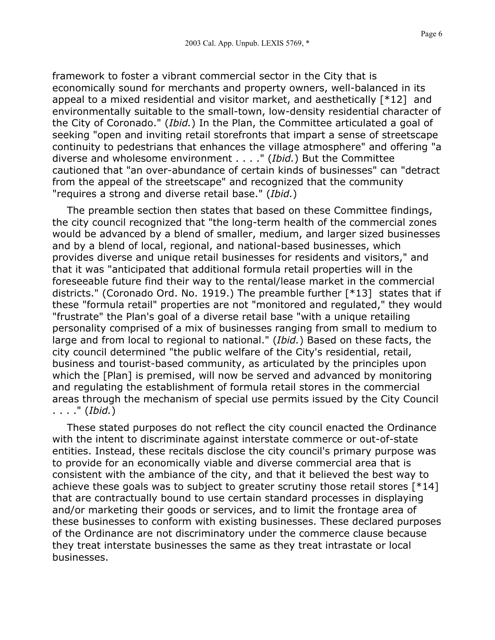framework to foster a vibrant commercial sector in the City that is economically sound for merchants and property owners, well-balanced in its appeal to a mixed residential and visitor market, and aesthetically [\*12] and environmentally suitable to the small-town, low-density residential character of the City of Coronado." (*Ibid.*) In the Plan, the Committee articulated a goal of seeking "open and inviting retail storefronts that impart a sense of streetscape continuity to pedestrians that enhances the village atmosphere" and offering "a diverse and wholesome environment . . . ." (*Ibid.*) But the Committee cautioned that "an over-abundance of certain kinds of businesses" can "detract from the appeal of the streetscape" and recognized that the community "requires a strong and diverse retail base." (*Ibid.*)

The preamble section then states that based on these Committee findings, the city council recognized that "the long-term health of the commercial zones would be advanced by a blend of smaller, medium, and larger sized businesses and by a blend of local, regional, and national-based businesses, which provides diverse and unique retail businesses for residents and visitors," and that it was "anticipated that additional formula retail properties will in the foreseeable future find their way to the rental/lease market in the commercial districts." (Coronado Ord. No. 1919.) The preamble further [\*13] states that if these "formula retail" properties are not "monitored and regulated," they would "frustrate" the Plan's goal of a diverse retail base "with a unique retailing personality comprised of a mix of businesses ranging from small to medium to large and from local to regional to national." (*Ibid.*) Based on these facts, the city council determined "the public welfare of the City's residential, retail, business and tourist-based community, as articulated by the principles upon which the [Plan] is premised, will now be served and advanced by monitoring and regulating the establishment of formula retail stores in the commercial areas through the mechanism of special use permits issued by the City Council . . . ." (*Ibid.*)

These stated purposes do not reflect the city council enacted the Ordinance with the intent to discriminate against interstate commerce or out-of-state entities. Instead, these recitals disclose the city council's primary purpose was to provide for an economically viable and diverse commercial area that is consistent with the ambiance of the city, and that it believed the best way to achieve these goals was to subject to greater scrutiny those retail stores [\*14] that are contractually bound to use certain standard processes in displaying and/or marketing their goods or services, and to limit the frontage area of these businesses to conform with existing businesses. These declared purposes of the Ordinance are not discriminatory under the commerce clause because they treat interstate businesses the same as they treat intrastate or local businesses.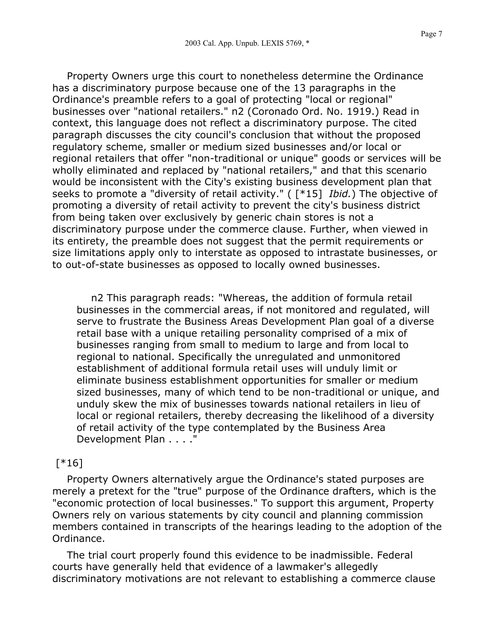Property Owners urge this court to nonetheless determine the Ordinance has a discriminatory purpose because one of the 13 paragraphs in the Ordinance's preamble refers to a goal of protecting "local or regional" businesses over "national retailers." n2 (Coronado Ord. No. 1919.) Read in context, this language does not reflect a discriminatory purpose. The cited paragraph discusses the city council's conclusion that without the proposed regulatory scheme, smaller or medium sized businesses and/or local or regional retailers that offer "non-traditional or unique" goods or services will be wholly eliminated and replaced by "national retailers," and that this scenario would be inconsistent with the City's existing business development plan that seeks to promote a "diversity of retail activity." ( [\*15] *Ibid.*) The objective of promoting a diversity of retail activity to prevent the city's business district from being taken over exclusively by generic chain stores is not a discriminatory purpose under the commerce clause. Further, when viewed in its entirety, the preamble does not suggest that the permit requirements or size limitations apply only to interstate as opposed to intrastate businesses, or to out-of-state businesses as opposed to locally owned businesses.

n2 This paragraph reads: "Whereas, the addition of formula retail businesses in the commercial areas, if not monitored and regulated, will serve to frustrate the Business Areas Development Plan goal of a diverse retail base with a unique retailing personality comprised of a mix of businesses ranging from small to medium to large and from local to regional to national. Specifically the unregulated and unmonitored establishment of additional formula retail uses will unduly limit or eliminate business establishment opportunities for smaller or medium sized businesses, many of which tend to be non-traditional or unique, and unduly skew the mix of businesses towards national retailers in lieu of local or regional retailers, thereby decreasing the likelihood of a diversity of retail activity of the type contemplated by the Business Area Development Plan . . . ."

## [\*16]

Property Owners alternatively argue the Ordinance's stated purposes are merely a pretext for the "true" purpose of the Ordinance drafters, which is the "economic protection of local businesses." To support this argument, Property Owners rely on various statements by city council and planning commission members contained in transcripts of the hearings leading to the adoption of the Ordinance.

The trial court properly found this evidence to be inadmissible. Federal courts have generally held that evidence of a lawmaker's allegedly discriminatory motivations are not relevant to establishing a commerce clause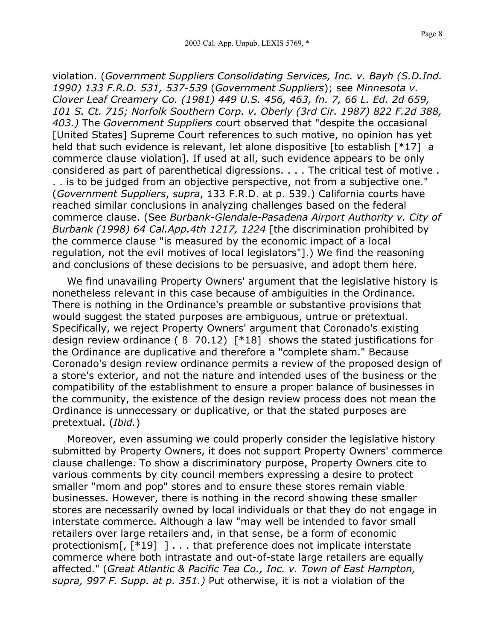violation. (*Government Suppliers Consolidating Services, Inc. v. Bayh (S.D.Ind. 1990) 133 F.R.D. 531, 537-539* (*Government Suppliers*); see *Minnesota v. Clover Leaf Creamery Co. (1981) 449 U.S. 456, 463, fn. 7, 66 L. Ed. 2d 659, 101 S. Ct. 715; Norfolk Southern Corp. v. Oberly (3rd Cir. 1987) 822 F.2d 388, 403.)* The *Government Suppliers* court observed that "despite the occasional [United States] Supreme Court references to such motive, no opinion has yet held that such evidence is relevant, let alone dispositive [to establish [\*17] a commerce clause violation]. If used at all, such evidence appears to be only considered as part of parenthetical digressions. . . . The critical test of motive . . . is to be judged from an objective perspective, not from a subjective one." (*Government Suppliers*, *supra*, 133 F.R.D. at p. 539.) California courts have reached similar conclusions in analyzing challenges based on the federal commerce clause. (See *Burbank-Glendale-Pasadena Airport Authority v. City of Burbank (1998) 64 Cal.App.4th 1217, 1224* [the discrimination prohibited by

the commerce clause "is measured by the economic impact of a local regulation, not the evil motives of local legislators"].) We find the reasoning and conclusions of these decisions to be persuasive, and adopt them here.

We find unavailing Property Owners' argument that the legislative history is nonetheless relevant in this case because of ambiguities in the Ordinance. There is nothing in the Ordinance's preamble or substantive provisions that would suggest the stated purposes are ambiguous, untrue or pretextual. Specifically, we reject Property Owners' argument that Coronado's existing design review ordinance ( ß 70.12) [\*18] shows the stated justifications for the Ordinance are duplicative and therefore a "complete sham." Because Coronado's design review ordinance permits a review of the proposed design of a store's exterior, and not the nature and intended uses of the business or the compatibility of the establishment to ensure a proper balance of businesses in the community, the existence of the design review process does not mean the Ordinance is unnecessary or duplicative, or that the stated purposes are pretextual. (*Ibid.*)

Moreover, even assuming we could properly consider the legislative history submitted by Property Owners, it does not support Property Owners' commerce clause challenge. To show a discriminatory purpose, Property Owners cite to various comments by city council members expressing a desire to protect smaller "mom and pop" stores and to ensure these stores remain viable businesses. However, there is nothing in the record showing these smaller stores are necessarily owned by local individuals or that they do not engage in interstate commerce. Although a law "may well be intended to favor small retailers over large retailers and, in that sense, be a form of economic protectionism[, [\*19] ] . . . that preference does not implicate interstate commerce where both intrastate and out-of-state large retailers are equally affected." (*Great Atlantic & Pacific Tea Co., Inc. v. Town of East Hampton, supra, 997 F. Supp. at p. 351.)* Put otherwise, it is not a violation of the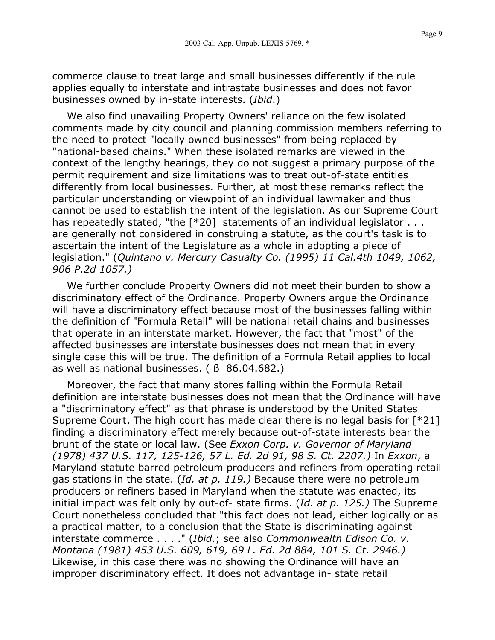Page 9

commerce clause to treat large and small businesses differently if the rule applies equally to interstate and intrastate businesses and does not favor businesses owned by in-state interests. (*Ibid*.)

We also find unavailing Property Owners' reliance on the few isolated comments made by city council and planning commission members referring to the need to protect "locally owned businesses" from being replaced by "national-based chains." When these isolated remarks are viewed in the context of the lengthy hearings, they do not suggest a primary purpose of the permit requirement and size limitations was to treat out-of-state entities differently from local businesses. Further, at most these remarks reflect the particular understanding or viewpoint of an individual lawmaker and thus cannot be used to establish the intent of the legislation. As our Supreme Court has repeatedly stated, "the [\*20] statements of an individual legislator . . . are generally not considered in construing a statute, as the court's task is to ascertain the intent of the Legislature as a whole in adopting a piece of legislation." (*Quintano v. Mercury Casualty Co. (1995) 11 Cal.4th 1049, 1062, 906 P.2d 1057.)*

We further conclude Property Owners did not meet their burden to show a discriminatory effect of the Ordinance. Property Owners argue the Ordinance will have a discriminatory effect because most of the businesses falling within the definition of "Formula Retail" will be national retail chains and businesses that operate in an interstate market. However, the fact that "most" of the affected businesses are interstate businesses does not mean that in every single case this will be true. The definition of a Formula Retail applies to local as well as national businesses. ( ß 86.04.682.)

Moreover, the fact that many stores falling within the Formula Retail definition are interstate businesses does not mean that the Ordinance will have a "discriminatory effect" as that phrase is understood by the United States Supreme Court. The high court has made clear there is no legal basis for [\*21] finding a discriminatory effect merely because out-of-state interests bear the brunt of the state or local law. (See *Exxon Corp. v. Governor of Maryland (1978) 437 U.S. 117, 125-126, 57 L. Ed. 2d 91, 98 S. Ct. 2207.)* In *Exxon*, a Maryland statute barred petroleum producers and refiners from operating retail gas stations in the state. (*Id. at p. 119.)* Because there were no petroleum producers or refiners based in Maryland when the statute was enacted, its initial impact was felt only by out-of- state firms. (*Id. at p. 125.)* The Supreme Court nonetheless concluded that "this fact does not lead, either logically or as a practical matter, to a conclusion that the State is discriminating against interstate commerce . . . ." (*Ibid.*; see also *Commonwealth Edison Co. v. Montana (1981) 453 U.S. 609, 619, 69 L. Ed. 2d 884, 101 S. Ct. 2946.)* Likewise, in this case there was no showing the Ordinance will have an improper discriminatory effect. It does not advantage in- state retail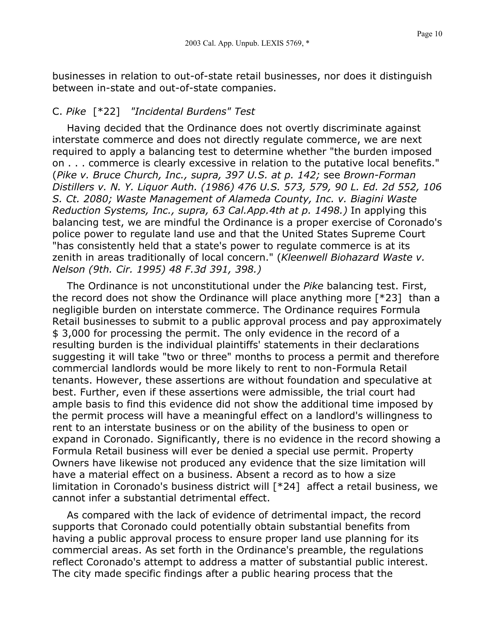businesses in relation to out-of-state retail businesses, nor does it distinguish between in-state and out-of-state companies.

## C. *Pike* [\*22] *"Incidental Burdens" Test*

Having decided that the Ordinance does not overtly discriminate against interstate commerce and does not directly regulate commerce, we are next required to apply a balancing test to determine whether "the burden imposed on . . . commerce is clearly excessive in relation to the putative local benefits." (*Pike v. Bruce Church, Inc., supra, 397 U.S. at p. 142;* see *Brown-Forman Distillers v. N. Y. Liquor Auth. (1986) 476 U.S. 573, 579, 90 L. Ed. 2d 552, 106 S. Ct. 2080; Waste Management of Alameda County, Inc. v. Biagini Waste Reduction Systems, Inc., supra, 63 Cal.App.4th at p. 1498.)* In applying this balancing test, we are mindful the Ordinance is a proper exercise of Coronado's police power to regulate land use and that the United States Supreme Court "has consistently held that a state's power to regulate commerce is at its zenith in areas traditionally of local concern." (*Kleenwell Biohazard Waste v. Nelson (9th. Cir. 1995) 48 F.3d 391, 398.)*

The Ordinance is not unconstitutional under the *Pike* balancing test. First, the record does not show the Ordinance will place anything more [\*23] than a negligible burden on interstate commerce. The Ordinance requires Formula Retail businesses to submit to a public approval process and pay approximately \$ 3,000 for processing the permit. The only evidence in the record of a resulting burden is the individual plaintiffs' statements in their declarations suggesting it will take "two or three" months to process a permit and therefore commercial landlords would be more likely to rent to non-Formula Retail tenants. However, these assertions are without foundation and speculative at best. Further, even if these assertions were admissible, the trial court had ample basis to find this evidence did not show the additional time imposed by the permit process will have a meaningful effect on a landlord's willingness to rent to an interstate business or on the ability of the business to open or expand in Coronado. Significantly, there is no evidence in the record showing a Formula Retail business will ever be denied a special use permit. Property Owners have likewise not produced any evidence that the size limitation will have a material effect on a business. Absent a record as to how a size limitation in Coronado's business district will [\*24] affect a retail business, we cannot infer a substantial detrimental effect.

As compared with the lack of evidence of detrimental impact, the record supports that Coronado could potentially obtain substantial benefits from having a public approval process to ensure proper land use planning for its commercial areas. As set forth in the Ordinance's preamble, the regulations reflect Coronado's attempt to address a matter of substantial public interest. The city made specific findings after a public hearing process that the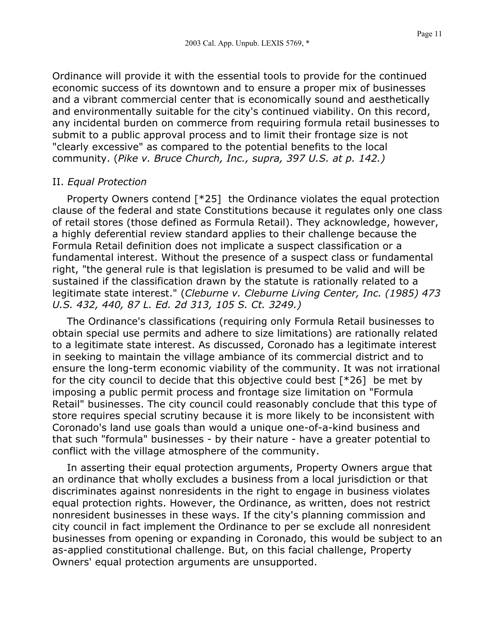Ordinance will provide it with the essential tools to provide for the continued economic success of its downtown and to ensure a proper mix of businesses and a vibrant commercial center that is economically sound and aesthetically and environmentally suitable for the city's continued viability. On this record, any incidental burden on commerce from requiring formula retail businesses to submit to a public approval process and to limit their frontage size is not "clearly excessive" as compared to the potential benefits to the local community. (*Pike v. Bruce Church, Inc., supra, 397 U.S. at p. 142.)*

#### II. *Equal Protection*

Property Owners contend [\*25] the Ordinance violates the equal protection clause of the federal and state Constitutions because it regulates only one class of retail stores (those defined as Formula Retail). They acknowledge, however, a highly deferential review standard applies to their challenge because the Formula Retail definition does not implicate a suspect classification or a fundamental interest. Without the presence of a suspect class or fundamental right, "the general rule is that legislation is presumed to be valid and will be sustained if the classification drawn by the statute is rationally related to a legitimate state interest." (*Cleburne v. Cleburne Living Center, Inc. (1985) 473 U.S. 432, 440, 87 L. Ed. 2d 313, 105 S. Ct. 3249.)*

The Ordinance's classifications (requiring only Formula Retail businesses to obtain special use permits and adhere to size limitations) are rationally related to a legitimate state interest. As discussed, Coronado has a legitimate interest in seeking to maintain the village ambiance of its commercial district and to ensure the long-term economic viability of the community. It was not irrational for the city council to decide that this objective could best  $[^*26]$  be met by imposing a public permit process and frontage size limitation on "Formula Retail" businesses. The city council could reasonably conclude that this type of store requires special scrutiny because it is more likely to be inconsistent with Coronado's land use goals than would a unique one-of-a-kind business and that such "formula" businesses - by their nature - have a greater potential to conflict with the village atmosphere of the community.

In asserting their equal protection arguments, Property Owners argue that an ordinance that wholly excludes a business from a local jurisdiction or that discriminates against nonresidents in the right to engage in business violates equal protection rights. However, the Ordinance, as written, does not restrict nonresident businesses in these ways. If the city's planning commission and city council in fact implement the Ordinance to per se exclude all nonresident businesses from opening or expanding in Coronado, this would be subject to an as-applied constitutional challenge. But, on this facial challenge, Property Owners' equal protection arguments are unsupported.